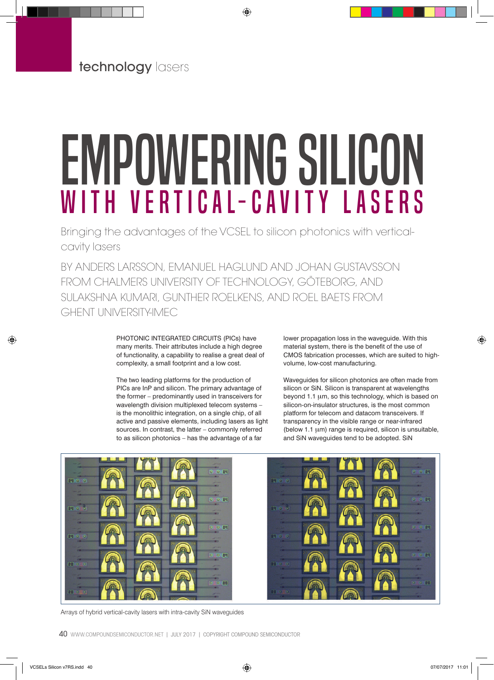# Empowering silicon with vertical-cavity lasers

Bringing the advantages of the VCSEL to silicon photonics with verticalcavity lasers

BY ANDERS LARSSON, EMANUEL HAGLUND AND JOHAN GUSTAVSSON FROM CHALMERS UNIVERSITY OF TECHNOLOGY, GÖTEBORG, AND SULAKSHNA KUMARI, GUNTHER ROELKENS, AND ROEL BAETS FROM GHENT UNIVERSITY-IMEC

> PHOTONIC INTEGRATED CIRCUITS (PICs) have many merits. Their attributes include a high degree of functionality, a capability to realise a great deal of complexity, a small footprint and a low cost.

The two leading platforms for the production of PICs are InP and silicon. The primary advantage of the former – predominantly used in transceivers for wavelength division multiplexed telecom systems – is the monolithic integration, on a single chip, of all active and passive elements, including lasers as light sources. In contrast, the latter – commonly referred to as silicon photonics – has the advantage of a far

lower propagation loss in the waveguide. With this material system, there is the benefit of the use of CMOS fabrication processes, which are suited to highvolume, low-cost manufacturing.

Waveguides for silicon photonics are often made from silicon or SiN. Silicon is transparent at wavelengths beyond 1.1 µm, so this technology, which is based on silicon-on-insulator structures, is the most common platform for telecom and datacom transceivers. If transparency in the visible range or near-infrared (below 1.1 µm) range is required, silicon is unsuitable, and SiN waveguides tend to be adopted. SiN



Arrays of hybrid vertical-cavity lasers with intra-cavity SiN waveguides

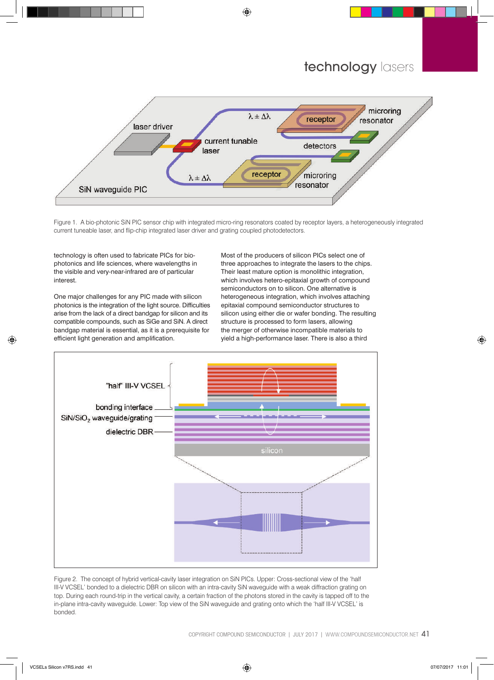

Figure 1. A bio-photonic SiN PIC sensor chip with integrated micro-ring resonators coated by receptor layers, a heterogeneously integrated current tuneable laser, and flip-chip integrated laser driver and grating coupled photodetectors.

technology is often used to fabricate PICs for biophotonics and life sciences, where wavelengths in the visible and very-near-infrared are of particular interest.

One major challenges for any PIC made with silicon photonics is the integration of the light source. Difficulties arise from the lack of a direct bandgap for silicon and its compatible compounds, such as SiGe and SiN. A direct bandgap material is essential, as it is a prerequisite for efficient light generation and amplification.

Most of the producers of silicon PICs select one of three approaches to integrate the lasers to the chips. Their least mature option is monolithic integration, which involves hetero-epitaxial growth of compound semiconductors on to silicon. One alternative is heterogeneous integration, which involves attaching epitaxial compound semiconductor structures to silicon using either die or wafer bonding. The resulting structure is processed to form lasers, allowing the merger of otherwise incompatible materials to yield a high-performance laser. There is also a third



Figure 2. The concept of hybrid vertical-cavity laser integration on SiN PICs. Upper: Cross-sectional view of the 'half III-V VCSEL' bonded to a dielectric DBR on silicon with an intra-cavity SiN waveguide with a weak diffraction grating on top. During each round-trip in the vertical cavity, a certain fraction of the photons stored in the cavity is tapped off to the in-plane intra-cavity waveguide. Lower: Top view of the SiN waveguide and grating onto which the 'half III-V VCSEL' is bonded.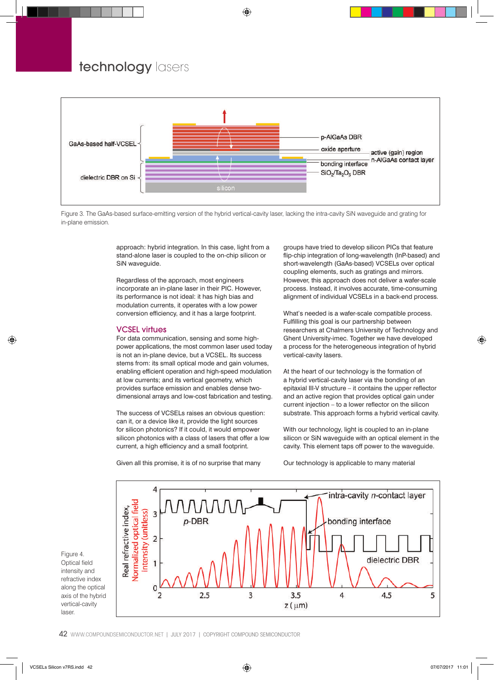

Figure 3. The GaAs-based surface-emitting version of the hybrid vertical-cavity laser, lacking the intra-cavity SiN waveguide and grating for in-plane emission.

approach: hybrid integration. In this case, light from a stand-alone laser is coupled to the on-chip silicon or SiN waveguide.

Regardless of the approach, most engineers incorporate an in-plane laser in their PIC. However, its performance is not ideal: it has high bias and modulation currents, it operates with a low power conversion efficiency, and it has a large footprint.

## VCSEL virtues

For data communication, sensing and some highpower applications, the most common laser used today is not an in-plane device, but a VCSEL. Its success stems from: its small optical mode and gain volumes, enabling efficient operation and high-speed modulation at low currents; and its vertical geometry, which provides surface emission and enables dense twodimensional arrays and low-cost fabrication and testing.

The success of VCSELs raises an obvious question: can it, or a device like it, provide the light sources for silicon photonics? If it could, it would empower silicon photonics with a class of lasers that offer a low current, a high efficiency and a small footprint.

Given all this promise, it is of no surprise that many

groups have tried to develop silicon PICs that feature flip-chip integration of long-wavelength (InP-based) and short-wavelength (GaAs-based) VCSELs over optical coupling elements, such as gratings and mirrors. However, this approach does not deliver a wafer-scale process. Instead, it involves accurate, time-consuming alignment of individual VCSELs in a back-end process.

What's needed is a wafer-scale compatible process. Fulfilling this goal is our partnership between researchers at Chalmers University of Technology and Ghent University-imec. Together we have developed a process for the heterogeneous integration of hybrid vertical-cavity lasers.

At the heart of our technology is the formation of a hybrid vertical-cavity laser via the bonding of an epitaxial III-V structure – it contains the upper reflector and an active region that provides optical gain under current injection – to a lower reflector on the silicon substrate. This approach forms a hybrid vertical cavity.

With our technology, light is coupled to an in-plane silicon or SiN waveguide with an optical element in the cavity. This element taps off power to the waveguide.

Our technology is applicable to many material

Figure 4. Optical field intensity and refractive index along the optical axis of the hybrid vertical-cavity laser.

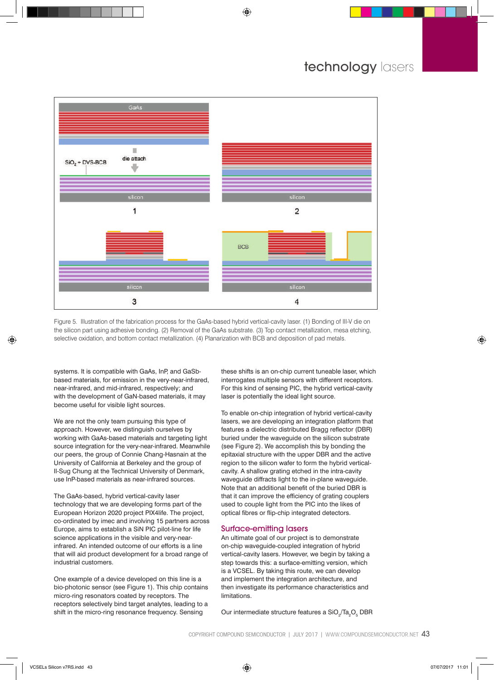

Figure 5. Illustration of the fabrication process for the GaAs-based hybrid vertical-cavity laser. (1) Bonding of III-V die on the silicon part using adhesive bonding. (2) Removal of the GaAs substrate. (3) Top contact metallization, mesa etching, selective oxidation, and bottom contact metallization. (4) Planarization with BCB and deposition of pad metals.

systems. It is compatible with GaAs, InP, and GaSbbased materials, for emission in the very-near-infrared, near-infrared, and mid-infrared, respectively; and with the development of GaN-based materials, it may become useful for visible light sources.

We are not the only team pursuing this type of approach. However, we distinguish ourselves by working with GaAs-based materials and targeting light source integration for the very-near-infrared. Meanwhile our peers, the group of Connie Chang-Hasnain at the University of California at Berkeley and the group of Il-Sug Chung at the Technical University of Denmark, use InP-based materials as near-infrared sources.

The GaAs-based, hybrid vertical-cavity laser technology that we are developing forms part of the European Horizon 2020 project PIX4life. The project, co-ordinated by imec and involving 15 partners across Europe, aims to establish a SiN PIC pilot-line for life science applications in the visible and very-nearinfrared. An intended outcome of our efforts is a line that will aid product development for a broad range of industrial customers.

One example of a device developed on this line is a bio-photonic sensor (see Figure 1). This chip contains micro-ring resonators coated by receptors. The receptors selectively bind target analytes, leading to a shift in the micro-ring resonance frequency. Sensing

these shifts is an on-chip current tuneable laser, which interrogates multiple sensors with different receptors. For this kind of sensing PIC, the hybrid vertical-cavity laser is potentially the ideal light source.

To enable on-chip integration of hybrid vertical-cavity lasers, we are developing an integration platform that features a dielectric distributed Bragg reflector (DBR) buried under the waveguide on the silicon substrate (see Figure 2). We accomplish this by bonding the epitaxial structure with the upper DBR and the active region to the silicon wafer to form the hybrid verticalcavity. A shallow grating etched in the intra-cavity waveguide diffracts light to the in-plane waveguide. Note that an additional benefit of the buried DBR is that it can improve the efficiency of grating couplers used to couple light from the PIC into the likes of optical fibres or flip-chip integrated detectors.

### Surface-emitting lasers

An ultimate goal of our project is to demonstrate on-chip waveguide-coupled integration of hybrid vertical-cavity lasers. However, we begin by taking a step towards this: a surface-emitting version, which is a VCSEL. By taking this route, we can develop and implement the integration architecture, and then investigate its performance characteristics and limitations.

Our intermediate structure features a  $SiO_2/Ta_2O_5$  DBR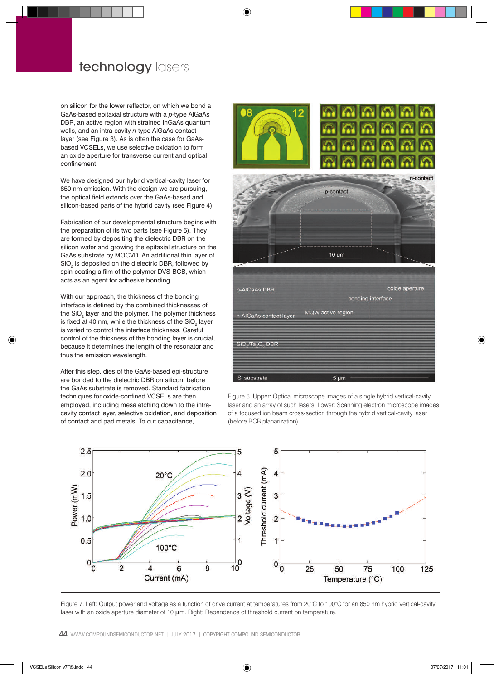on silicon for the lower reflector, on which we bond a GaAs-based epitaxial structure with a *p*-type AlGaAs DBR, an active region with strained InGaAs quantum wells, and an intra-cavity *n*-type AlGaAs contact layer (see Figure 3). As is often the case for GaAsbased VCSELs, we use selective oxidation to form an oxide aperture for transverse current and optical confinement.

We have designed our hybrid vertical-cavity laser for 850 nm emission. With the design we are pursuing, the optical field extends over the GaAs-based and silicon-based parts of the hybrid cavity (see Figure 4).

Fabrication of our developmental structure begins with the preparation of its two parts (see Figure 5). They are formed by depositing the dielectric DBR on the silicon wafer and growing the epitaxial structure on the GaAs substrate by MOCVD. An additional thin layer of  $\mathrm{SiO}_2$  is deposited on the dielectric DBR, followed by spin-coating a film of the polymer DVS-BCB, which acts as an agent for adhesive bonding.

With our approach, the thickness of the bonding interface is defined by the combined thicknesses of the SiO<sub>2</sub> layer and the polymer. The polymer thickness is fixed at 40 nm, while the thickness of the SiO<sub>2</sub> layer is varied to control the interface thickness. Careful control of the thickness of the bonding layer is crucial, because it determines the length of the resonator and thus the emission wavelength.

After this step, dies of the GaAs-based epi-structure are bonded to the dielectric DBR on silicon, before the GaAs substrate is removed. Standard fabrication techniques for oxide-confined VCSELs are then employed, including mesa etching down to the intracavity contact layer, selective oxidation, and deposition of contact and pad metals. To cut capacitance,



Figure 6. Upper: Optical microscope images of a single hybrid vertical-cavity laser and an array of such lasers. Lower: Scanning electron microscope images of a focused ion beam cross-section through the hybrid vertical-cavity laser (before BCB planarization).



Figure 7. Left: Output power and voltage as a function of drive current at temperatures from 20°C to 100°C for an 850 nm hybrid vertical-cavity laser with an oxide aperture diameter of 10 μm. Right: Dependence of threshold current on temperature.